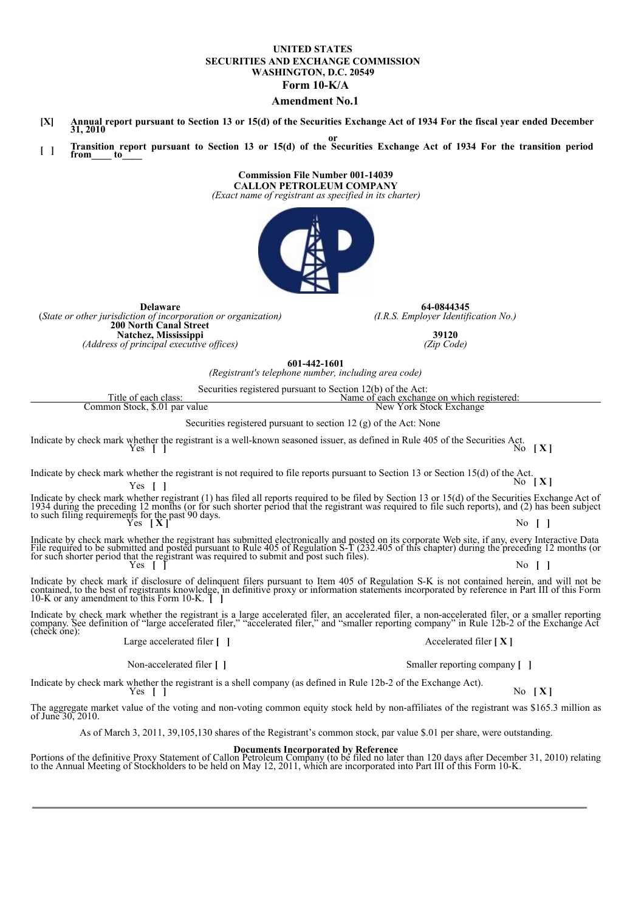#### **UNITED STATES SECURITIES AND EXCHANGE COMMISSION WASHINGTON, D.C. 20549 Form 10-K/A**

#### **Amendment No.1**

- [X] Annual report pursuant to Section 13 or 15(d) of the Securities Exchange Act of 1934 For the fiscal year ended December 31, 2010
- Transition report pursuant to Section 13 or 15(d) of the Securities Exchange Act of 1934 For the transition period **from\_\_\_\_ to\_\_\_\_**

**Commission File Number 001-14039 CALLON PETROLEUM COMPANY** *(Exact name of registrant as specified in its charter)*



**64-0844345** *(I.R.S. Employer Identification No.)*

> **39120** *(Zip Code)*

**601-442-1601**

*(Registrant's telephone number, including area code)*

Securities registered pursuant to Section 12(b) of the Act:

| Title of each class:                                                                                                                                     | Name of each exchange on which registered: |  |  |  |
|----------------------------------------------------------------------------------------------------------------------------------------------------------|--------------------------------------------|--|--|--|
| Common Stock, \$.01 par value                                                                                                                            | New York Stock Exchange                    |  |  |  |
| $\Omega$ . The set of the set of the set of the set of the set of $\Omega$ (c) is $\Omega$ and $\Lambda$ and $\Lambda$ is the set of the set of $\Omega$ |                                            |  |  |  |

Securities registered pursuant to section 12 (g) of the Act: None

Indicate by check mark whether the registrant is a well-known seasoned issuer, as defined in Rule 405 of the Securities Act. Yes **[ ]** No **[ X ]**

Indicate by check mark whether the registrant is not required to file reports pursuant to Section 13 or Section 15(d) of the Act.<br>No **[X**]

Indicate by check mark whether registrant (1) has filed all reports required to be filed by Section 13 or 15(d) of the Securities Exchange Act of 1934 during the preceding 12 months (or for such shorter period that the re

Indicate by check mark whether the registrant has submitted electronically and posted on its corporate Web site, if any, every Interactive Data<br>File required to be submitted and posted pursuant to Rule 405 of Regulation S-

Indicate by check mark if disclosure of delinquent filers pursuant to Item 405 of Regulation S-K is not contained herein, and will not be contained, to the best of registrants knowledge, in definitive proxy or information

Indicate by check mark whether the registrant is a large accelerated filer, an accelerated filer, a non-accelerated filer, or a smaller reporting<br>company. See definition of "large accelerated filer," "accelerated filer," a

Large accelerated filer **[ ]** Accelerated filer **[ X ]**

**Delaware** (*State or other jurisdiction of incorporation or organization)*

**200 North Canal Street Natchez, Mississippi** *(Address of principal executive of ices)*

Non-accelerated filer **[ ]** Smaller reporting company **[ ]**

Indicate by check mark whether the registrant is a shell company (as defined in Rule 12b-2 of the Exchange Act).<br>No **[X]** No **[X]** 

The aggregate market value of the voting and non-voting common equity stock held by non-affiliates of the registrant was \$165.3 million as of June 30, 2010.

As of March 3, 2011, 39,105,130 shares of the Registrant's common stock, par value \$.01 per share, were outstanding.

**Documents Incorporated by Reference**<br>Portions of the definitive Proxy Statement of Callon Petroleum Company (to be filed no later than 120 days after December 31, 2010) relating<br>to the Annual Meeting of Stockholders to be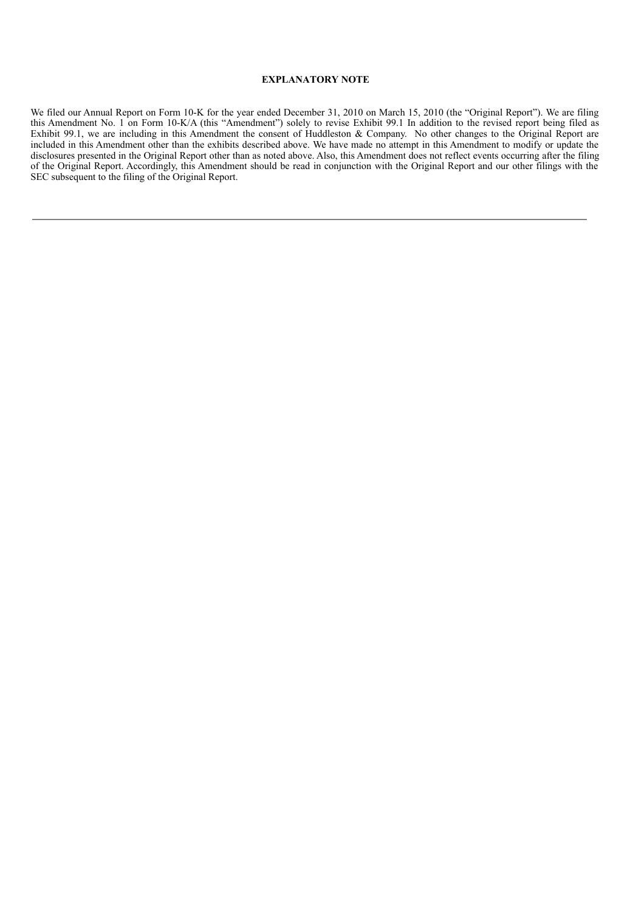## **EXPLANATORY NOTE**

We filed our Annual Report on Form 10-K for the year ended December 31, 2010 on March 15, 2010 (the "Original Report"). We are filing this Amendment No. 1 on Form 10-K/A (this "Amendment") solely to revise Exhibit 99.1 In addition to the revised report being filed as Exhibit 99.1, we are including in this Amendment the consent of Huddleston & Company. No other changes to the Original Report are included in this Amendment other than the exhibits described above. We have made no attempt in this Amendment to modify or update the disclosures presented in the Original Report other than as noted above. Also, this Amendment does not reflect events occurring after the filing of the Original Report. Accordingly, this Amendment should be read in conjunction with the Original Report and our other filings with the SEC subsequent to the filing of the Original Report.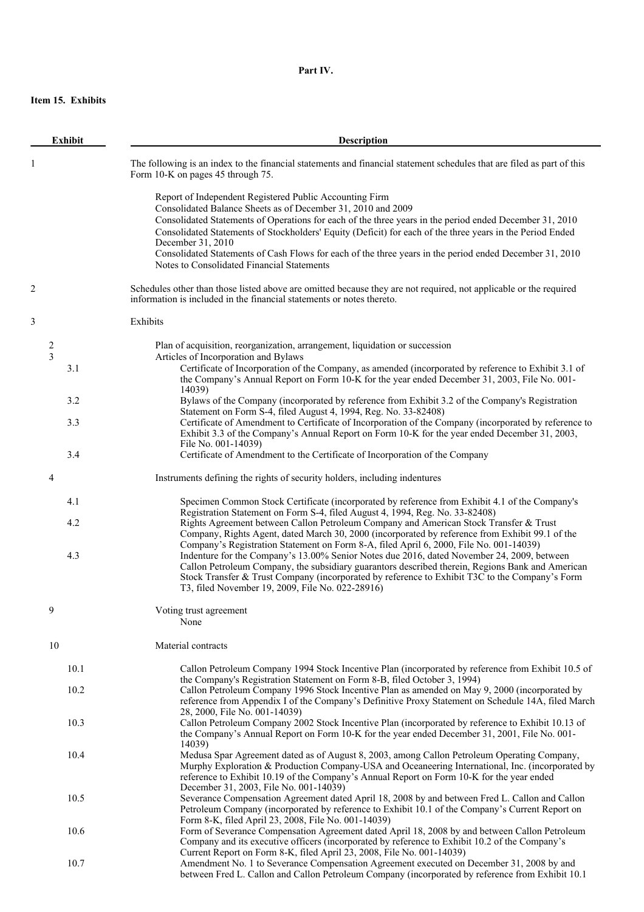# **Part IV.**

# **Item 15. Exhibits**

| <b>Exhibit</b> |            | Description                                                                                                                                                                                                                                                                                                                                                                                                                                                                                                                                                                                                                                                                                                                |  |  |  |
|----------------|------------|----------------------------------------------------------------------------------------------------------------------------------------------------------------------------------------------------------------------------------------------------------------------------------------------------------------------------------------------------------------------------------------------------------------------------------------------------------------------------------------------------------------------------------------------------------------------------------------------------------------------------------------------------------------------------------------------------------------------------|--|--|--|
| -1             |            | The following is an index to the financial statements and financial statement schedules that are filed as part of this<br>Form 10-K on pages 45 through 75.                                                                                                                                                                                                                                                                                                                                                                                                                                                                                                                                                                |  |  |  |
|                |            | Report of Independent Registered Public Accounting Firm<br>Consolidated Balance Sheets as of December 31, 2010 and 2009<br>Consolidated Statements of Operations for each of the three years in the period ended December 31, 2010<br>Consolidated Statements of Stockholders' Equity (Deficit) for each of the three years in the Period Ended<br>December 31, 2010<br>Consolidated Statements of Cash Flows for each of the three years in the period ended December 31, 2010<br>Notes to Consolidated Financial Statements                                                                                                                                                                                              |  |  |  |
| 2              |            | Schedules other than those listed above are omitted because they are not required, not applicable or the required<br>information is included in the financial statements or notes thereto.                                                                                                                                                                                                                                                                                                                                                                                                                                                                                                                                 |  |  |  |
| 3              |            | Exhibits                                                                                                                                                                                                                                                                                                                                                                                                                                                                                                                                                                                                                                                                                                                   |  |  |  |
| 2<br>3         | 3.1        | Plan of acquisition, reorganization, arrangement, liquidation or succession<br>Articles of Incorporation and Bylaws<br>Certificate of Incorporation of the Company, as amended (incorporated by reference to Exhibit 3.1 of<br>the Company's Annual Report on Form 10-K for the year ended December 31, 2003, File No. 001-                                                                                                                                                                                                                                                                                                                                                                                                |  |  |  |
|                | 3.2        | 14039)<br>Bylaws of the Company (incorporated by reference from Exhibit 3.2 of the Company's Registration                                                                                                                                                                                                                                                                                                                                                                                                                                                                                                                                                                                                                  |  |  |  |
|                | 3.3        | Statement on Form S-4, filed August 4, 1994, Reg. No. 33-82408)<br>Certificate of Amendment to Certificate of Incorporation of the Company (incorporated by reference to<br>Exhibit 3.3 of the Company's Annual Report on Form 10-K for the year ended December 31, 2003,<br>File No. 001-14039)                                                                                                                                                                                                                                                                                                                                                                                                                           |  |  |  |
|                | 3.4        | Certificate of Amendment to the Certificate of Incorporation of the Company                                                                                                                                                                                                                                                                                                                                                                                                                                                                                                                                                                                                                                                |  |  |  |
| 4              |            | Instruments defining the rights of security holders, including indentures                                                                                                                                                                                                                                                                                                                                                                                                                                                                                                                                                                                                                                                  |  |  |  |
|                | 4.1        | Specimen Common Stock Certificate (incorporated by reference from Exhibit 4.1 of the Company's                                                                                                                                                                                                                                                                                                                                                                                                                                                                                                                                                                                                                             |  |  |  |
|                | 4.2<br>4.3 | Registration Statement on Form S-4, filed August 4, 1994, Reg. No. 33-82408)<br>Rights Agreement between Callon Petroleum Company and American Stock Transfer & Trust<br>Company, Rights Agent, dated March 30, 2000 (incorporated by reference from Exhibit 99.1 of the<br>Company's Registration Statement on Form 8-A, filed April 6, 2000, File No. 001-14039)<br>Indenture for the Company's 13.00% Senior Notes due 2016, dated November 24, 2009, between<br>Callon Petroleum Company, the subsidiary guarantors described therein, Regions Bank and American<br>Stock Transfer & Trust Company (incorporated by reference to Exhibit T3C to the Company's Form<br>T3, filed November 19, 2009, File No. 022-28916) |  |  |  |
| 9              |            | Voting trust agreement<br>None                                                                                                                                                                                                                                                                                                                                                                                                                                                                                                                                                                                                                                                                                             |  |  |  |
| 10             |            | Material contracts                                                                                                                                                                                                                                                                                                                                                                                                                                                                                                                                                                                                                                                                                                         |  |  |  |
|                | 10.1       | Callon Petroleum Company 1994 Stock Incentive Plan (incorporated by reference from Exhibit 10.5 of<br>the Company's Registration Statement on Form 8-B, filed October 3, 1994)                                                                                                                                                                                                                                                                                                                                                                                                                                                                                                                                             |  |  |  |
|                | 10.2       | Callon Petroleum Company 1996 Stock Incentive Plan as amended on May 9, 2000 (incorporated by<br>reference from Appendix I of the Company's Definitive Proxy Statement on Schedule 14A, filed March                                                                                                                                                                                                                                                                                                                                                                                                                                                                                                                        |  |  |  |
|                | 10.3       | 28, 2000, File No. 001-14039)<br>Callon Petroleum Company 2002 Stock Incentive Plan (incorporated by reference to Exhibit 10.13 of<br>the Company's Annual Report on Form 10-K for the year ended December 31, 2001, File No. 001-<br>14039)                                                                                                                                                                                                                                                                                                                                                                                                                                                                               |  |  |  |
|                | 10.4       | Medusa Spar Agreement dated as of August 8, 2003, among Callon Petroleum Operating Company,<br>Murphy Exploration & Production Company-USA and Oceaneering International, Inc. (incorporated by<br>reference to Exhibit 10.19 of the Company's Annual Report on Form 10-K for the year ended<br>December 31, 2003, File No. 001-14039)                                                                                                                                                                                                                                                                                                                                                                                     |  |  |  |
|                | 10.5       | Severance Compensation Agreement dated April 18, 2008 by and between Fred L. Callon and Callon<br>Petroleum Company (incorporated by reference to Exhibit 10.1 of the Company's Current Report on<br>Form 8-K, filed April 23, 2008, File No. 001-14039)                                                                                                                                                                                                                                                                                                                                                                                                                                                                   |  |  |  |
|                | 10.6       | Form of Severance Compensation Agreement dated April 18, 2008 by and between Callon Petroleum<br>Company and its executive officers (incorporated by reference to Exhibit 10.2 of the Company's                                                                                                                                                                                                                                                                                                                                                                                                                                                                                                                            |  |  |  |
|                | 10.7       | Current Report on Form 8-K, filed April 23, 2008, File No. 001-14039)<br>Amendment No. 1 to Severance Compensation Agreement executed on December 31, 2008 by and<br>between Fred L. Callon and Callon Petroleum Company (incorporated by reference from Exhibit 10.1                                                                                                                                                                                                                                                                                                                                                                                                                                                      |  |  |  |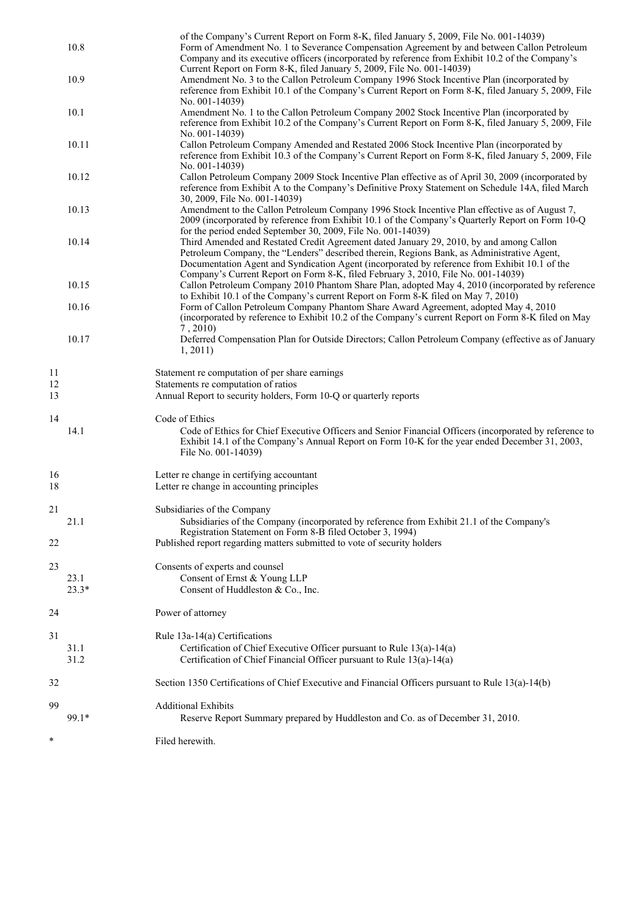|                | 10.8            | of the Company's Current Report on Form 8-K, filed January 5, 2009, File No. 001-14039)<br>Form of Amendment No. 1 to Severance Compensation Agreement by and between Callon Petroleum<br>Company and its executive officers (incorporated by reference from Exhibit 10.2 of the Company's                                                                                                                                                  |
|----------------|-----------------|---------------------------------------------------------------------------------------------------------------------------------------------------------------------------------------------------------------------------------------------------------------------------------------------------------------------------------------------------------------------------------------------------------------------------------------------|
|                | 10.9            | Current Report on Form 8-K, filed January 5, 2009, File No. 001-14039)<br>Amendment No. 3 to the Callon Petroleum Company 1996 Stock Incentive Plan (incorporated by<br>reference from Exhibit 10.1 of the Company's Current Report on Form 8-K, filed January 5, 2009, File                                                                                                                                                                |
|                | 10.1            | No. 001-14039)<br>Amendment No. 1 to the Callon Petroleum Company 2002 Stock Incentive Plan (incorporated by<br>reference from Exhibit 10.2 of the Company's Current Report on Form 8-K, filed January 5, 2009, File                                                                                                                                                                                                                        |
|                | 10.11           | No. 001-14039)<br>Callon Petroleum Company Amended and Restated 2006 Stock Incentive Plan (incorporated by<br>reference from Exhibit 10.3 of the Company's Current Report on Form 8-K, filed January 5, 2009, File                                                                                                                                                                                                                          |
|                | 10.12           | No. 001-14039)<br>Callon Petroleum Company 2009 Stock Incentive Plan effective as of April 30, 2009 (incorporated by<br>reference from Exhibit A to the Company's Definitive Proxy Statement on Schedule 14A, filed March                                                                                                                                                                                                                   |
|                | 10.13           | 30, 2009, File No. 001-14039)<br>Amendment to the Callon Petroleum Company 1996 Stock Incentive Plan effective as of August 7,<br>2009 (incorporated by reference from Exhibit 10.1 of the Company's Quarterly Report on Form 10-Q                                                                                                                                                                                                          |
|                | 10.14           | for the period ended September 30, 2009, File No. 001-14039)<br>Third Amended and Restated Credit Agreement dated January 29, 2010, by and among Callon<br>Petroleum Company, the "Lenders" described therein, Regions Bank, as Administrative Agent,<br>Documentation Agent and Syndication Agent (incorporated by reference from Exhibit 10.1 of the<br>Company's Current Report on Form 8-K, filed February 3, 2010, File No. 001-14039) |
|                | 10.15           | Callon Petroleum Company 2010 Phantom Share Plan, adopted May 4, 2010 (incorporated by reference<br>to Exhibit 10.1 of the Company's current Report on Form 8-K filed on May 7, 2010)                                                                                                                                                                                                                                                       |
|                | 10.16           | Form of Callon Petroleum Company Phantom Share Award Agreement, adopted May 4, 2010<br>(incorporated by reference to Exhibit 10.2 of the Company's current Report on Form 8-K filed on May<br>7,2010                                                                                                                                                                                                                                        |
|                | 10.17           | Deferred Compensation Plan for Outside Directors; Callon Petroleum Company (effective as of January<br>1, 2011)                                                                                                                                                                                                                                                                                                                             |
| 11<br>12<br>13 |                 | Statement re computation of per share earnings<br>Statements re computation of ratios<br>Annual Report to security holders, Form 10-Q or quarterly reports                                                                                                                                                                                                                                                                                  |
| 14             | 14.1            | Code of Ethics<br>Code of Ethics for Chief Executive Officers and Senior Financial Officers (incorporated by reference to<br>Exhibit 14.1 of the Company's Annual Report on Form 10-K for the year ended December 31, 2003,<br>File No. 001-14039)                                                                                                                                                                                          |
| 16<br>18       |                 | Letter re change in certifying accountant<br>Letter re change in accounting principles                                                                                                                                                                                                                                                                                                                                                      |
| 21             | 21.1            | Subsidiaries of the Company<br>Subsidiaries of the Company (incorporated by reference from Exhibit 21.1 of the Company's                                                                                                                                                                                                                                                                                                                    |
| 22             |                 | Registration Statement on Form 8-B filed October 3, 1994)<br>Published report regarding matters submitted to vote of security holders                                                                                                                                                                                                                                                                                                       |
| 23             | 23.1<br>$23.3*$ | Consents of experts and counsel<br>Consent of Ernst & Young LLP<br>Consent of Huddleston & Co., Inc.                                                                                                                                                                                                                                                                                                                                        |
| 24             |                 | Power of attorney                                                                                                                                                                                                                                                                                                                                                                                                                           |
| 31             | 31.1<br>31.2    | Rule $13a-14(a)$ Certifications<br>Certification of Chief Executive Officer pursuant to Rule 13(a)-14(a)<br>Certification of Chief Financial Officer pursuant to Rule 13(a)-14(a)                                                                                                                                                                                                                                                           |
| 32             |                 | Section 1350 Certifications of Chief Executive and Financial Officers pursuant to Rule 13(a)-14(b)                                                                                                                                                                                                                                                                                                                                          |
| 99             | 99.1*           | <b>Additional Exhibits</b><br>Reserve Report Summary prepared by Huddleston and Co. as of December 31, 2010.                                                                                                                                                                                                                                                                                                                                |
| *              |                 | Filed herewith.                                                                                                                                                                                                                                                                                                                                                                                                                             |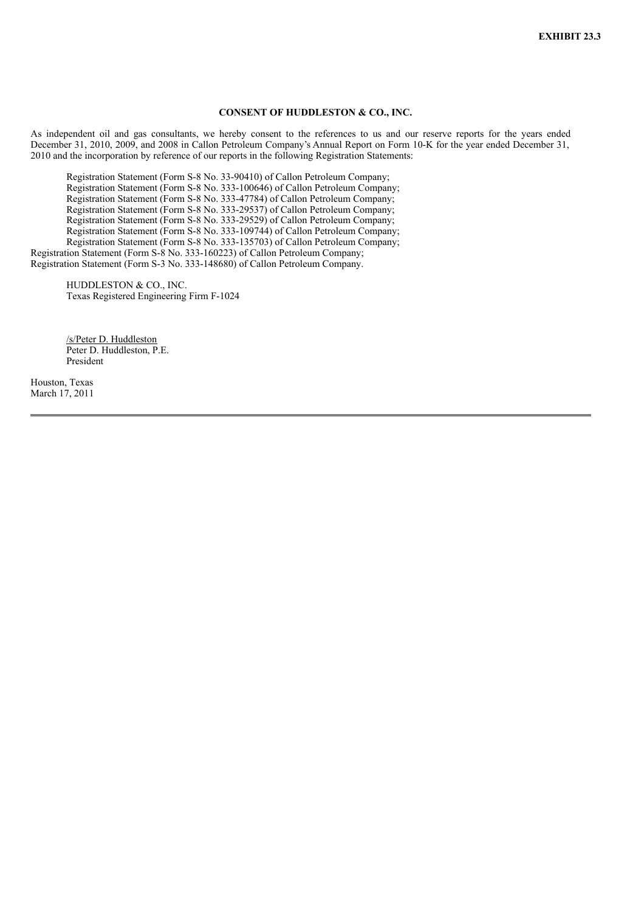## **CONSENT OF HUDDLESTON & CO., INC.**

As independent oil and gas consultants, we hereby consent to the references to us and our reserve reports for the years ended December 31, 2010, 2009, and 2008 in Callon Petroleum Company's Annual Report on Form 10-K for the year ended December 31, 2010 and the incorporation by reference of our reports in the following Registration Statements:

Registration Statement (Form S-8 No. 33-90410) of Callon Petroleum Company; Registration Statement (Form S-8 No. 333-100646) of Callon Petroleum Company; Registration Statement (Form S-8 No. 333-47784) of Callon Petroleum Company; Registration Statement (Form S-8 No. 333-29537) of Callon Petroleum Company; Registration Statement (Form S-8 No. 333-29529) of Callon Petroleum Company; Registration Statement (Form S-8 No. 333-109744) of Callon Petroleum Company; Registration Statement (Form S-8 No. 333-135703) of Callon Petroleum Company; Registration Statement (Form S-8 No. 333-160223) of Callon Petroleum Company; Registration Statement (Form S-3 No. 333-148680) of Callon Petroleum Company.

HUDDLESTON & CO., INC. Texas Registered Engineering Firm F-1024

/s/Peter D. Huddleston Peter D. Huddleston, P.E. President

Houston, Texas March 17, 2011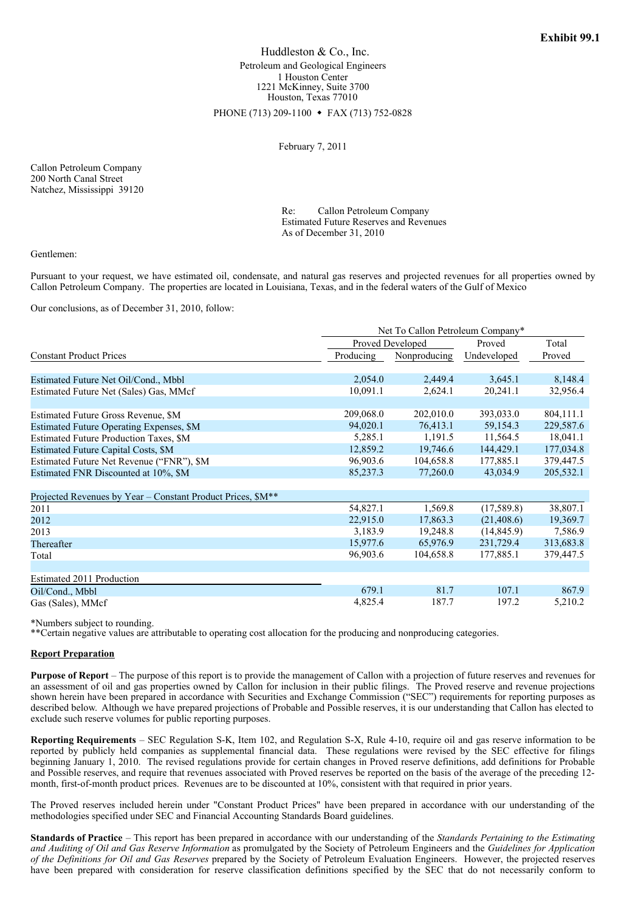Huddleston & Co., Inc. Petroleum and Geological Engineers 1 Houston Center 1221 McKinney, Suite 3700 Houston, Texas 77010

PHONE (713) 209-1100 • FAX (713) 752-0828

February 7, 2011

Callon Petroleum Company 200 North Canal Street Natchez, Mississippi 39120

> Re: Callon Petroleum Company Estimated Future Reserves and Revenues As of December 31, 2010

Gentlemen:

Pursuant to your request, we have estimated oil, condensate, and natural gas reserves and projected revenues for all properties owned by Callon Petroleum Company. The properties are located in Louisiana, Texas, and in the federal waters of the Gulf of Mexico

Our conclusions, as of December 31, 2010, follow:

|                                                             | Net To Callon Petroleum Company* |              |             |           |
|-------------------------------------------------------------|----------------------------------|--------------|-------------|-----------|
|                                                             | Proved Developed                 |              | Proved      | Total     |
| <b>Constant Product Prices</b>                              | Producing                        | Nonproducing | Undeveloped | Proved    |
| Estimated Future Net Oil/Cond., Mbbl                        | 2,054.0                          | 2,449.4      | 3,645.1     | 8,148.4   |
| Estimated Future Net (Sales) Gas, MMcf                      | 10,091.1                         | 2,624.1      | 20,241.1    | 32,956.4  |
| Estimated Future Gross Revenue, \$M                         | 209,068.0                        | 202,010.0    | 393,033.0   | 804,111.1 |
| Estimated Future Operating Expenses, \$M                    | 94,020.1                         | 76,413.1     | 59,154.3    | 229,587.6 |
| Estimated Future Production Taxes, \$M                      | 5,285.1                          | 1,191.5      | 11,564.5    | 18,041.1  |
| Estimated Future Capital Costs, \$M                         | 12,859.2                         | 19,746.6     | 144,429.1   | 177,034.8 |
| Estimated Future Net Revenue ("FNR"), \$M                   | 96,903.6                         | 104,658.8    | 177,885.1   | 379,447.5 |
| Estimated FNR Discounted at 10%, \$M                        | 85,237.3                         | 77,260.0     | 43,034.9    | 205,532.1 |
| Projected Revenues by Year - Constant Product Prices, \$M** |                                  |              |             |           |
| 2011                                                        | 54,827.1                         | 1,569.8      | (17,589.8)  | 38,807.1  |
| 2012                                                        | 22,915.0                         | 17,863.3     | (21, 408.6) | 19,369.7  |
| 2013                                                        | 3,183.9                          | 19,248.8     | (14, 845.9) | 7,586.9   |
| Thereafter                                                  | 15,977.6                         | 65,976.9     | 231,729.4   | 313,683.8 |
| Total                                                       | 96,903.6                         | 104,658.8    | 177,885.1   | 379,447.5 |
|                                                             |                                  |              |             |           |
| Estimated 2011 Production                                   | 679.1                            | 81.7         | 107.1       | 867.9     |
| Oil/Cond., Mbbl                                             | 4,825.4                          | 187.7        | 197.2       | 5,210.2   |
| Gas (Sales), MMcf                                           |                                  |              |             |           |

\*Numbers subject to rounding.

\*\*Certain negative values are attributable to operating cost allocation for the producing and nonproducing categories.

## **Report Preparation**

**Purpose of Report** – The purpose of this report is to provide the management of Callon with a projection of future reserves and revenues for an assessment of oil and gas properties owned by Callon for inclusion in their public filings. The Proved reserve and revenue projections shown herein have been prepared in accordance with Securities and Exchange Commission ("SEC") requirements for reporting purposes as described below. Although we have prepared projections of Probable and Possible reserves, it is our understanding that Callon has elected to exclude such reserve volumes for public reporting purposes.

**Reporting Requirements** – SEC Regulation S-K, Item 102, and Regulation S-X, Rule 4-10, require oil and gas reserve information to be reported by publicly held companies as supplemental financial data. These regulations were revised by the SEC effective for filings beginning January 1, 2010. The revised regulations provide for certain changes in Proved reserve definitions, add definitions for Probable and Possible reserves, and require that revenues associated with Proved reserves be reported on the basis of the average of the preceding 12 month, first-of-month product prices. Revenues are to be discounted at 10%, consistent with that required in prior years.

The Proved reserves included herein under "Constant Product Prices" have been prepared in accordance with our understanding of the methodologies specified under SEC and Financial Accounting Standards Board guidelines.

**Standards of Practice** – This report has been prepared in accordance with our understanding of the *Standards Pertaining to the Estimating and Auditing of Oil and Gas Reserve Information* as promulgated by the Society of Petroleum Engineers and the *Guidelines for Application of the Definitions for Oil and Gas Reserves* prepared by the Society of Petroleum Evaluation Engineers. However, the projected reserves have been prepared with consideration for reserve classification definitions specified by the SEC that do not necessarily conform to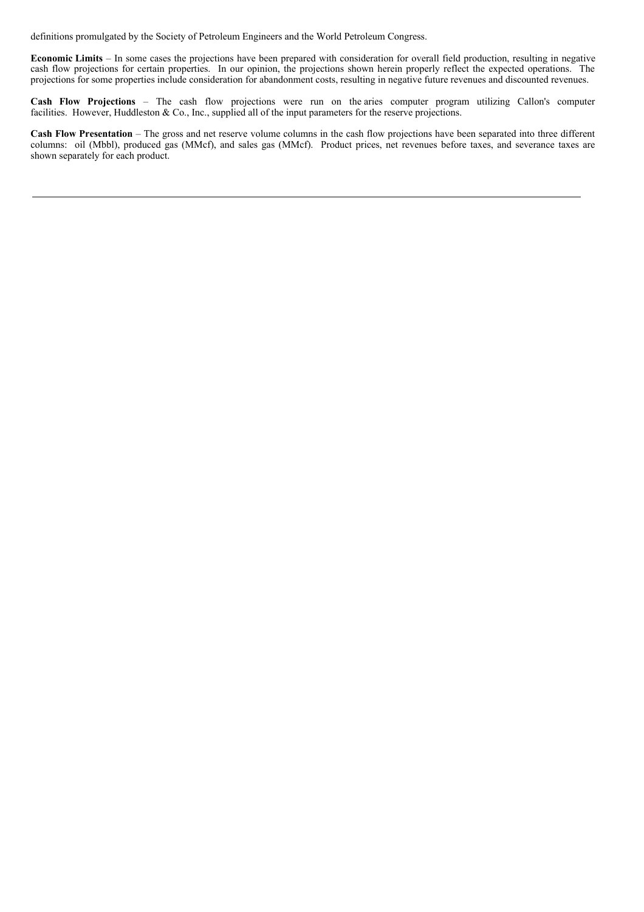definitions promulgated by the Society of Petroleum Engineers and the World Petroleum Congress.

**Economic Limits** – In some cases the projections have been prepared with consideration for overall field production, resulting in negative cash flow projections for certain properties. In our opinion, the projections shown herein properly reflect the expected operations. The projections for some properties include consideration for abandonment costs, resulting in negative future revenues and discounted revenues.

**Cash Flow Projections** – The cash flow projections were run on the aries computer program utilizing Callon's computer facilities. However, Huddleston & Co., Inc., supplied all of the input parameters for the reserve projections.

**Cash Flow Presentation** – The gross and net reserve volume columns in the cash flow projections have been separated into three different columns: oil (Mbbl), produced gas (MMcf), and sales gas (MMcf). Product prices, net revenues before taxes, and severance taxes are shown separately for each product.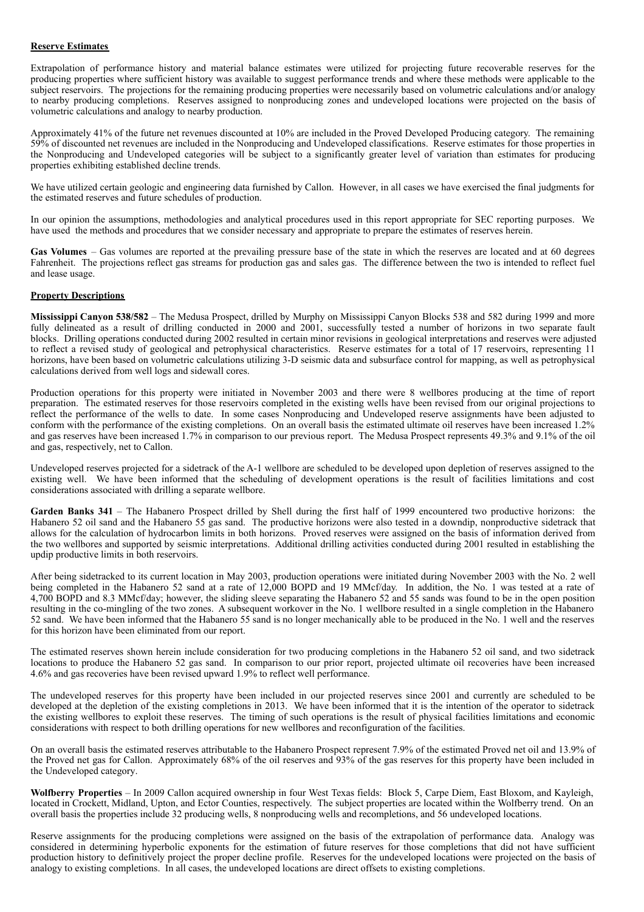## **Reserve Estimates**

Extrapolation of performance history and material balance estimates were utilized for projecting future recoverable reserves for the producing properties where sufficient history was available to suggest performance trends and where these methods were applicable to the subject reservoirs. The projections for the remaining producing properties were necessarily based on volumetric calculations and/or analogy to nearby producing completions. Reserves assigned to nonproducing zones and undeveloped locations were projected on the basis of volumetric calculations and analogy to nearby production.

Approximately 41% of the future net revenues discounted at 10% are included in the Proved Developed Producing category. The remaining 59% of discounted net revenues are included in the Nonproducing and Undeveloped classifications. Reserve estimates for those properties in the Nonproducing and Undeveloped categories will be subject to a significantly greater level of variation than estimates for producing properties exhibiting established decline trends.

We have utilized certain geologic and engineering data furnished by Callon. However, in all cases we have exercised the final judgments for the estimated reserves and future schedules of production.

In our opinion the assumptions, methodologies and analytical procedures used in this report appropriate for SEC reporting purposes. We have used the methods and procedures that we consider necessary and appropriate to prepare the estimates of reserves herein.

**Gas Volumes** – Gas volumes are reported at the prevailing pressure base of the state in which the reserves are located and at 60 degrees Fahrenheit. The projections reflect gas streams for production gas and sales gas. The difference between the two is intended to reflect fuel and lease usage.

## **Property Descriptions**

**Mississippi Canyon 538/582** – The Medusa Prospect, drilled by Murphy on Mississippi Canyon Blocks 538 and 582 during 1999 and more fully delineated as a result of drilling conducted in 2000 and 2001, successfully tested a number of horizons in two separate fault blocks. Drilling operations conducted during 2002 resulted in certain minor revisions in geological interpretations and reserves were adjusted to reflect a revised study of geological and petrophysical characteristics. Reserve estimates for a total of 17 reservoirs, representing 11 horizons, have been based on volumetric calculations utilizing 3-D seismic data and subsurface control for mapping, as well as petrophysical calculations derived from well logs and sidewall cores.

Production operations for this property were initiated in November 2003 and there were 8 wellbores producing at the time of report preparation. The estimated reserves for those reservoirs completed in the existing wells have been revised from our original projections to reflect the performance of the wells to date. In some cases Nonproducing and Undeveloped reserve assignments have been adjusted to conform with the performance of the existing completions. On an overall basis the estimated ultimate oil reserves have been increased 1.2% and gas reserves have been increased 1.7% in comparison to our previous report. The Medusa Prospect represents 49.3% and 9.1% of the oil and gas, respectively, net to Callon.

Undeveloped reserves projected for a sidetrack of the A-1 wellbore are scheduled to be developed upon depletion of reserves assigned to the existing well. We have been informed that the scheduling of development operations is the result of facilities limitations and cost considerations associated with drilling a separate wellbore.

**Garden Banks 341** – The Habanero Prospect drilled by Shell during the first half of 1999 encountered two productive horizons: the Habanero 52 oil sand and the Habanero 55 gas sand. The productive horizons were also tested in a downdip, nonproductive sidetrack that allows for the calculation of hydrocarbon limits in both horizons. Proved reserves were assigned on the basis of information derived from the two wellbores and supported by seismic interpretations. Additional drilling activities conducted during 2001 resulted in establishing the updip productive limits in both reservoirs.

After being sidetracked to its current location in May 2003, production operations were initiated during November 2003 with the No. 2 well being completed in the Habanero 52 sand at a rate of 12,000 BOPD and 19 MMcf/day. In addition, the No. 1 was tested at a rate of 4,700 BOPD and 8.3 MMcf/day; however, the sliding sleeve separating the Habanero 52 and 55 sands was found to be in the open position resulting in the co-mingling of the two zones. A subsequent workover in the No. 1 wellbore resulted in a single completion in the Habanero 52 sand. We have been informed that the Habanero 55 sand is no longer mechanically able to be produced in the No. 1 well and the reserves for this horizon have been eliminated from our report.

The estimated reserves shown herein include consideration for two producing completions in the Habanero 52 oil sand, and two sidetrack locations to produce the Habanero 52 gas sand. In comparison to our prior report, projected ultimate oil recoveries have been increased 4.6% and gas recoveries have been revised upward 1.9% to reflect well performance.

The undeveloped reserves for this property have been included in our projected reserves since 2001 and currently are scheduled to be developed at the depletion of the existing completions in 2013. We have been informed that it is the intention of the operator to sidetrack the existing wellbores to exploit these reserves. The timing of such operations is the result of physical facilities limitations and economic considerations with respect to both drilling operations for new wellbores and reconfiguration of the facilities.

On an overall basis the estimated reserves attributable to the Habanero Prospect represent 7.9% of the estimated Proved net oil and 13.9% of the Proved net gas for Callon. Approximately 68% of the oil reserves and 93% of the gas reserves for this property have been included in the Undeveloped category.

**Wolfberry Properties** – In 2009 Callon acquired ownership in four West Texas fields: Block 5, Carpe Diem, East Bloxom, and Kayleigh, located in Crockett, Midland, Upton, and Ector Counties, respectively. The subject properties are located within the Wolfberry trend. On an overall basis the properties include 32 producing wells, 8 nonproducing wells and recompletions, and 56 undeveloped locations.

Reserve assignments for the producing completions were assigned on the basis of the extrapolation of performance data. Analogy was considered in determining hyperbolic exponents for the estimation of future reserves for those completions that did not have sufficient production history to definitively project the proper decline profile. Reserves for the undeveloped locations were projected on the basis of analogy to existing completions. In all cases, the undeveloped locations are direct offsets to existing completions.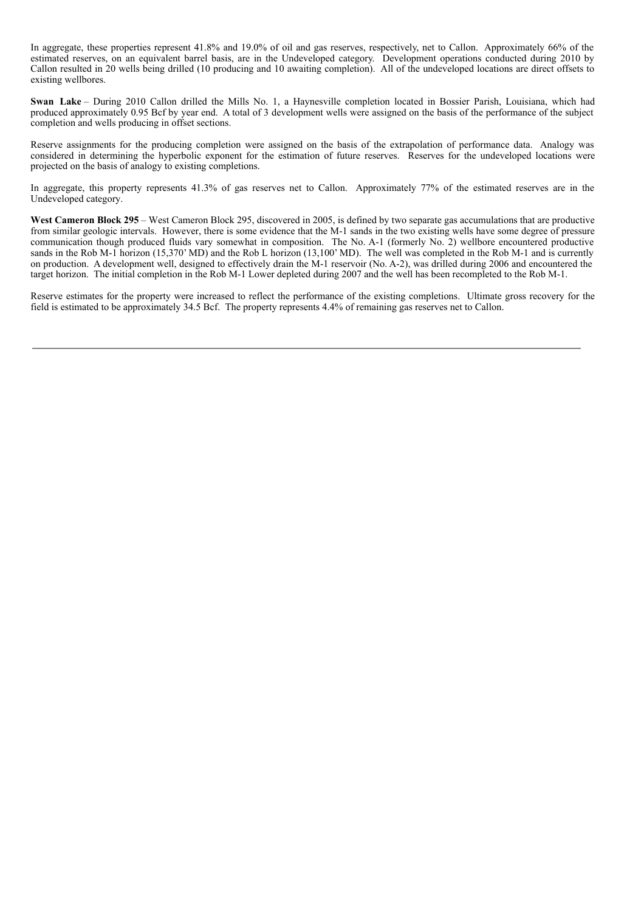In aggregate, these properties represent 41.8% and 19.0% of oil and gas reserves, respectively, net to Callon. Approximately 66% of the estimated reserves, on an equivalent barrel basis, are in the Undeveloped category. Development operations conducted during 2010 by Callon resulted in 20 wells being drilled (10 producing and 10 awaiting completion). All of the undeveloped locations are direct offsets to existing wellbores.

**Swan Lake** – During 2010 Callon drilled the Mills No. 1, a Haynesville completion located in Bossier Parish, Louisiana, which had produced approximately 0.95 Bcf by year end. A total of 3 development wells were assigned on the basis of the performance of the subject completion and wells producing in offset sections.

Reserve assignments for the producing completion were assigned on the basis of the extrapolation of performance data. Analogy was considered in determining the hyperbolic exponent for the estimation of future reserves. Reserves for the undeveloped locations were projected on the basis of analogy to existing completions.

In aggregate, this property represents 41.3% of gas reserves net to Callon. Approximately 77% of the estimated reserves are in the Undeveloped category.

**West Cameron Block 295** – West Cameron Block 295, discovered in 2005, is defined by two separate gas accumulations that are productive from similar geologic intervals. However, there is some evidence that the M-1 sands in the two existing wells have some degree of pressure communication though produced fluids vary somewhat in composition. The No. A-1 (formerly No. 2) wellbore encountered productive sands in the Rob M-1 horizon (15,370' MD) and the Rob L horizon (13,100' MD). The well was completed in the Rob M-1 and is currently on production. A development well, designed to effectively drain the M-1 reservoir (No. A-2), was drilled during 2006 and encountered the target horizon. The initial completion in the Rob M-1 Lower depleted during 2007 and the well has been recompleted to the Rob M-1.

Reserve estimates for the property were increased to reflect the performance of the existing completions. Ultimate gross recovery for the field is estimated to be approximately 34.5 Bcf. The property represents 4.4% of remaining gas reserves net to Callon.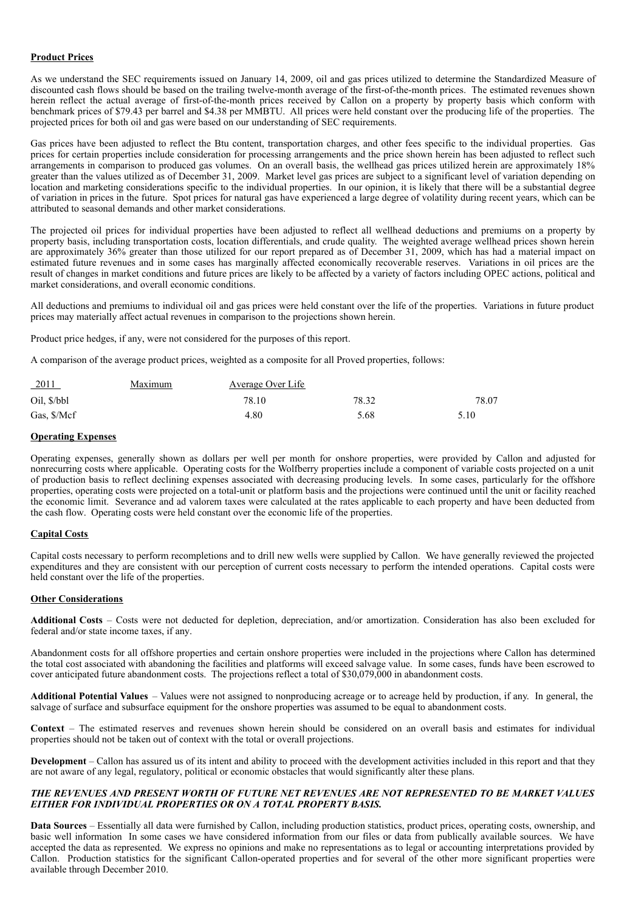## **Product Prices**

As we understand the SEC requirements issued on January 14, 2009, oil and gas prices utilized to determine the Standardized Measure of discounted cash flows should be based on the trailing twelve-month average of the first-of-the-month prices. The estimated revenues shown herein reflect the actual average of first-of-the-month prices received by Callon on a property by property basis which conform with benchmark prices of \$79.43 per barrel and \$4.38 per MMBTU. All prices were held constant over the producing life of the properties. The projected prices for both oil and gas were based on our understanding of SEC requirements.

Gas prices have been adjusted to reflect the Btu content, transportation charges, and other fees specific to the individual properties. Gas prices for certain properties include consideration for processing arrangements and the price shown herein has been adjusted to reflect such arrangements in comparison to produced gas volumes. On an overall basis, the wellhead gas prices utilized herein are approximately 18% greater than the values utilized as of December 31, 2009. Market level gas prices are subject to a significant level of variation depending on location and marketing considerations specific to the individual properties. In our opinion, it is likely that there will be a substantial degree of variation in prices in the future. Spot prices for natural gas have experienced a large degree of volatility during recent years, which can be attributed to seasonal demands and other market considerations.

The projected oil prices for individual properties have been adjusted to reflect all wellhead deductions and premiums on a property by property basis, including transportation costs, location differentials, and crude quality. The weighted average wellhead prices shown herein are approximately 36% greater than those utilized for our report prepared as of December 31, 2009, which has had a material impact on estimated future revenues and in some cases has marginally affected economically recoverable reserves. Variations in oil prices are the result of changes in market conditions and future prices are likely to be affected by a variety of factors including OPEC actions, political and market considerations, and overall economic conditions.

All deductions and premiums to individual oil and gas prices were held constant over the life of the properties. Variations in future product prices may materially affect actual revenues in comparison to the projections shown herein.

Product price hedges, if any, were not considered for the purposes of this report.

A comparison of the average product prices, weighted as a composite for all Proved properties, follows:

| $-2011$     | Maximum | <b>Average Over Life</b> |       |       |
|-------------|---------|--------------------------|-------|-------|
| Oil, \$/bbl |         | 78.10                    | 78.32 | 78.07 |
| Gas, \$/Mcf |         | 4.80                     | 5.68  | 5.10  |

#### **Operating Expenses**

Operating expenses, generally shown as dollars per well per month for onshore properties, were provided by Callon and adjusted for nonrecurring costs where applicable. Operating costs for the Wolfberry properties include a component of variable costs projected on a unit of production basis to reflect declining expenses associated with decreasing producing levels. In some cases, particularly for the offshore properties, operating costs were projected on a total-unit or platform basis and the projections were continued until the unit or facility reached the economic limit. Severance and ad valorem taxes were calculated at the rates applicable to each property and have been deducted from the cash flow. Operating costs were held constant over the economic life of the properties.

#### **Capital Costs**

Capital costs necessary to perform recompletions and to drill new wells were supplied by Callon. We have generally reviewed the projected expenditures and they are consistent with our perception of current costs necessary to perform the intended operations. Capital costs were held constant over the life of the properties.

#### **Other Considerations**

**Additional Costs** – Costs were not deducted for depletion, depreciation, and/or amortization. Consideration has also been excluded for federal and/or state income taxes, if any.

Abandonment costs for all offshore properties and certain onshore properties were included in the projections where Callon has determined the total cost associated with abandoning the facilities and platforms will exceed salvage value. In some cases, funds have been escrowed to cover anticipated future abandonment costs. The projections reflect a total of \$30,079,000 in abandonment costs.

**Additional Potential Values** – Values were not assigned to nonproducing acreage or to acreage held by production, if any. In general, the salvage of surface and subsurface equipment for the onshore properties was assumed to be equal to abandonment costs.

**Context** – The estimated reserves and revenues shown herein should be considered on an overall basis and estimates for individual properties should not be taken out of context with the total or overall projections.

**Development** – Callon has assured us of its intent and ability to proceed with the development activities included in this report and that they are not aware of any legal, regulatory, political or economic obstacles that would significantly alter these plans.

## *THE REVENUES AND PRESENT WORTH OF FUTURE NET REVENUES ARE NOT REPRESENTED TO BE MARKET VALUES EITHER FOR INDIVIDUAL PROPERTIES OR ON A TOTAL PROPERTY BASIS.*

**Data Sources** – Essentially all data were furnished by Callon, including production statistics, product prices, operating costs, ownership, and basic well information In some cases we have considered information from our files or data from publically available sources. We have accepted the data as represented. We express no opinions and make no representations as to legal or accounting interpretations provided by Callon. Production statistics for the significant Callon-operated properties and for several of the other more significant properties were available through December 2010.